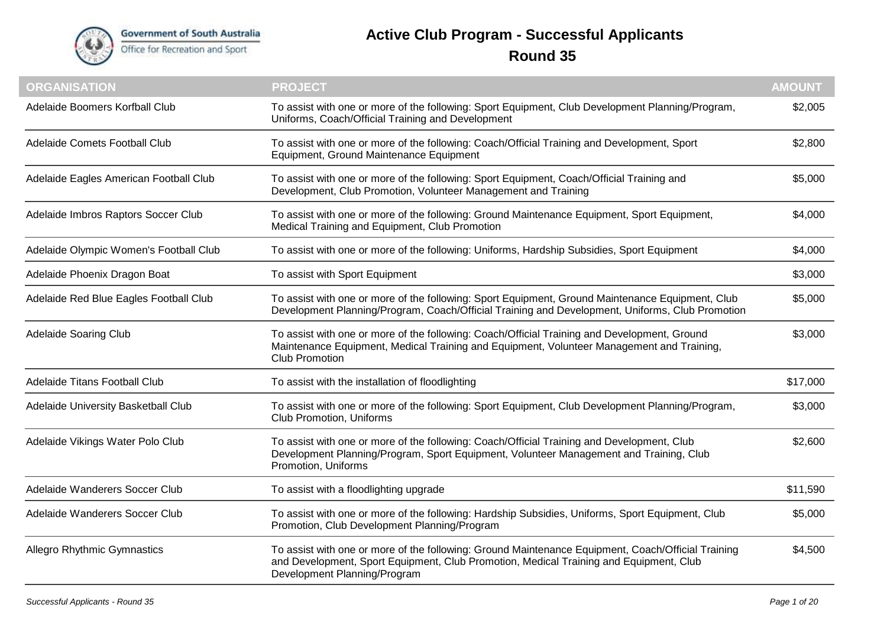

## **Active Club Program - Successful Applicants Round 35**

| <b>ORGANISATION</b>                    | <b>PROJECT</b>                                                                                                                                                                                                               | <b>AMOUNT</b> |
|----------------------------------------|------------------------------------------------------------------------------------------------------------------------------------------------------------------------------------------------------------------------------|---------------|
| Adelaide Boomers Korfball Club         | To assist with one or more of the following: Sport Equipment, Club Development Planning/Program,<br>Uniforms, Coach/Official Training and Development                                                                        | \$2,005       |
| Adelaide Comets Football Club          | To assist with one or more of the following: Coach/Official Training and Development, Sport<br>Equipment, Ground Maintenance Equipment                                                                                       | \$2,800       |
| Adelaide Eagles American Football Club | To assist with one or more of the following: Sport Equipment, Coach/Official Training and<br>Development, Club Promotion, Volunteer Management and Training                                                                  | \$5,000       |
| Adelaide Imbros Raptors Soccer Club    | To assist with one or more of the following: Ground Maintenance Equipment, Sport Equipment,<br>Medical Training and Equipment, Club Promotion                                                                                | \$4,000       |
| Adelaide Olympic Women's Football Club | To assist with one or more of the following: Uniforms, Hardship Subsidies, Sport Equipment                                                                                                                                   | \$4,000       |
| Adelaide Phoenix Dragon Boat           | To assist with Sport Equipment                                                                                                                                                                                               | \$3,000       |
| Adelaide Red Blue Eagles Football Club | To assist with one or more of the following: Sport Equipment, Ground Maintenance Equipment, Club<br>Development Planning/Program, Coach/Official Training and Development, Uniforms, Club Promotion                          | \$5,000       |
| <b>Adelaide Soaring Club</b>           | To assist with one or more of the following: Coach/Official Training and Development, Ground<br>Maintenance Equipment, Medical Training and Equipment, Volunteer Management and Training,<br><b>Club Promotion</b>           | \$3,000       |
| Adelaide Titans Football Club          | To assist with the installation of floodlighting                                                                                                                                                                             | \$17,000      |
| Adelaide University Basketball Club    | To assist with one or more of the following: Sport Equipment, Club Development Planning/Program,<br><b>Club Promotion, Uniforms</b>                                                                                          | \$3,000       |
| Adelaide Vikings Water Polo Club       | To assist with one or more of the following: Coach/Official Training and Development, Club<br>Development Planning/Program, Sport Equipment, Volunteer Management and Training, Club<br>Promotion, Uniforms                  | \$2,600       |
| Adelaide Wanderers Soccer Club         | To assist with a floodlighting upgrade                                                                                                                                                                                       | \$11,590      |
| Adelaide Wanderers Soccer Club         | To assist with one or more of the following: Hardship Subsidies, Uniforms, Sport Equipment, Club<br>Promotion, Club Development Planning/Program                                                                             | \$5,000       |
| <b>Allegro Rhythmic Gymnastics</b>     | To assist with one or more of the following: Ground Maintenance Equipment, Coach/Official Training<br>and Development, Sport Equipment, Club Promotion, Medical Training and Equipment, Club<br>Development Planning/Program | \$4,500       |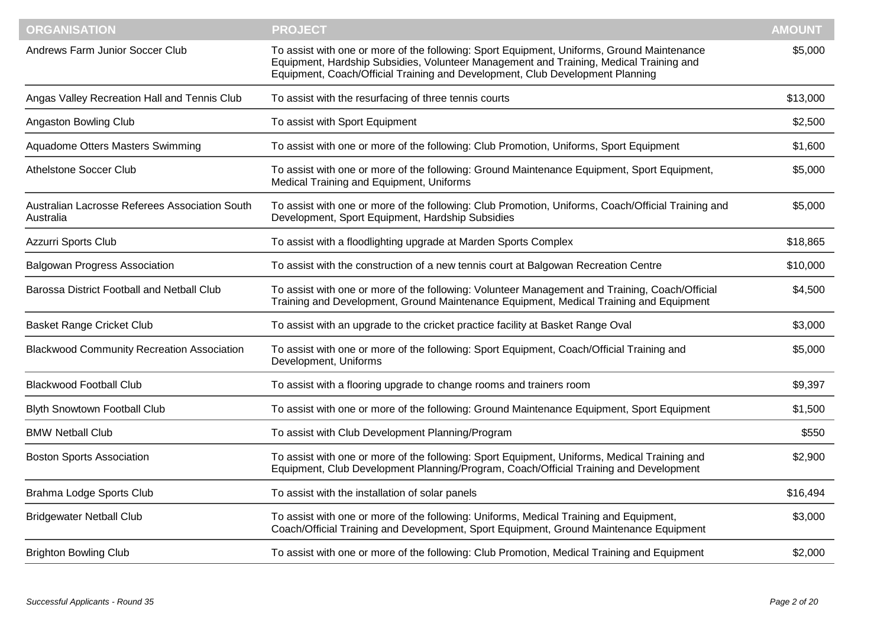| <b>ORGANISATION</b>                                         | <b>PROJECT</b>                                                                                                                                                                                                                                                        | <b>AMOUNT</b> |
|-------------------------------------------------------------|-----------------------------------------------------------------------------------------------------------------------------------------------------------------------------------------------------------------------------------------------------------------------|---------------|
| Andrews Farm Junior Soccer Club                             | To assist with one or more of the following: Sport Equipment, Uniforms, Ground Maintenance<br>Equipment, Hardship Subsidies, Volunteer Management and Training, Medical Training and<br>Equipment, Coach/Official Training and Development, Club Development Planning | \$5,000       |
| Angas Valley Recreation Hall and Tennis Club                | To assist with the resurfacing of three tennis courts                                                                                                                                                                                                                 | \$13,000      |
| Angaston Bowling Club                                       | To assist with Sport Equipment                                                                                                                                                                                                                                        | \$2,500       |
| Aquadome Otters Masters Swimming                            | To assist with one or more of the following: Club Promotion, Uniforms, Sport Equipment                                                                                                                                                                                | \$1,600       |
| <b>Athelstone Soccer Club</b>                               | To assist with one or more of the following: Ground Maintenance Equipment, Sport Equipment,<br>Medical Training and Equipment, Uniforms                                                                                                                               | \$5,000       |
| Australian Lacrosse Referees Association South<br>Australia | To assist with one or more of the following: Club Promotion, Uniforms, Coach/Official Training and<br>Development, Sport Equipment, Hardship Subsidies                                                                                                                | \$5,000       |
| Azzurri Sports Club                                         | To assist with a floodlighting upgrade at Marden Sports Complex                                                                                                                                                                                                       | \$18,865      |
| <b>Balgowan Progress Association</b>                        | To assist with the construction of a new tennis court at Balgowan Recreation Centre                                                                                                                                                                                   | \$10,000      |
| Barossa District Football and Netball Club                  | To assist with one or more of the following: Volunteer Management and Training, Coach/Official<br>Training and Development, Ground Maintenance Equipment, Medical Training and Equipment                                                                              | \$4,500       |
| <b>Basket Range Cricket Club</b>                            | To assist with an upgrade to the cricket practice facility at Basket Range Oval                                                                                                                                                                                       | \$3,000       |
| <b>Blackwood Community Recreation Association</b>           | To assist with one or more of the following: Sport Equipment, Coach/Official Training and<br>Development, Uniforms                                                                                                                                                    | \$5,000       |
| <b>Blackwood Football Club</b>                              | To assist with a flooring upgrade to change rooms and trainers room                                                                                                                                                                                                   | \$9,397       |
| <b>Blyth Snowtown Football Club</b>                         | To assist with one or more of the following: Ground Maintenance Equipment, Sport Equipment                                                                                                                                                                            | \$1,500       |
| <b>BMW Netball Club</b>                                     | To assist with Club Development Planning/Program                                                                                                                                                                                                                      | \$550         |
| <b>Boston Sports Association</b>                            | To assist with one or more of the following: Sport Equipment, Uniforms, Medical Training and<br>Equipment, Club Development Planning/Program, Coach/Official Training and Development                                                                                 | \$2,900       |
| Brahma Lodge Sports Club                                    | To assist with the installation of solar panels                                                                                                                                                                                                                       | \$16,494      |
| <b>Bridgewater Netball Club</b>                             | To assist with one or more of the following: Uniforms, Medical Training and Equipment,<br>Coach/Official Training and Development, Sport Equipment, Ground Maintenance Equipment                                                                                      | \$3,000       |
| <b>Brighton Bowling Club</b>                                | To assist with one or more of the following: Club Promotion, Medical Training and Equipment                                                                                                                                                                           | \$2,000       |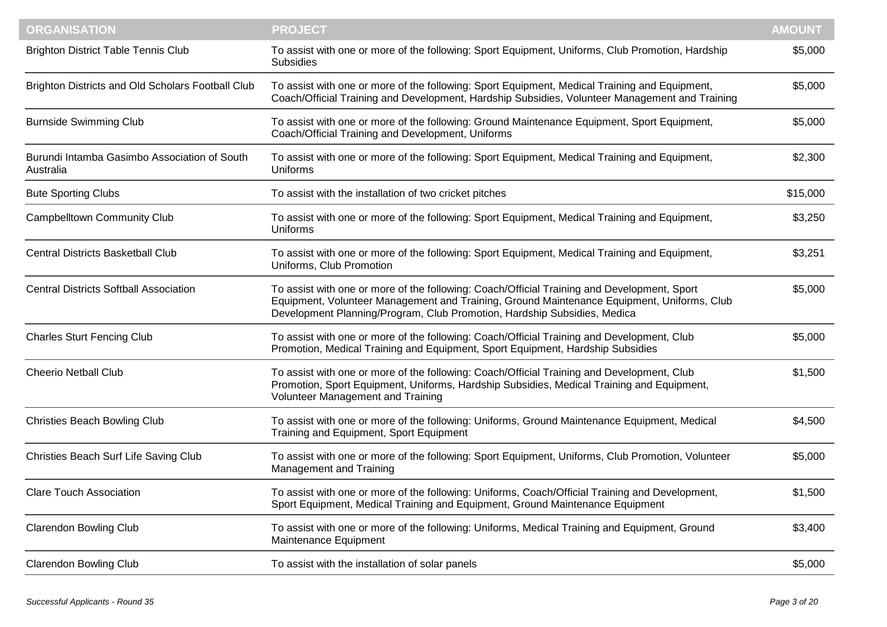| <b>ORGANISATION</b>                                       | <b>PROJECT</b>                                                                                                                                                                                                                                                        | <b>AMOUNT</b> |
|-----------------------------------------------------------|-----------------------------------------------------------------------------------------------------------------------------------------------------------------------------------------------------------------------------------------------------------------------|---------------|
| <b>Brighton District Table Tennis Club</b>                | To assist with one or more of the following: Sport Equipment, Uniforms, Club Promotion, Hardship<br>Subsidies                                                                                                                                                         | \$5,000       |
| Brighton Districts and Old Scholars Football Club         | To assist with one or more of the following: Sport Equipment, Medical Training and Equipment,<br>Coach/Official Training and Development, Hardship Subsidies, Volunteer Management and Training                                                                       | \$5,000       |
| <b>Burnside Swimming Club</b>                             | To assist with one or more of the following: Ground Maintenance Equipment, Sport Equipment,<br>Coach/Official Training and Development, Uniforms                                                                                                                      | \$5,000       |
| Burundi Intamba Gasimbo Association of South<br>Australia | To assist with one or more of the following: Sport Equipment, Medical Training and Equipment,<br>Uniforms                                                                                                                                                             | \$2,300       |
| <b>Bute Sporting Clubs</b>                                | To assist with the installation of two cricket pitches                                                                                                                                                                                                                | \$15,000      |
| <b>Campbelltown Community Club</b>                        | To assist with one or more of the following: Sport Equipment, Medical Training and Equipment,<br><b>Uniforms</b>                                                                                                                                                      | \$3,250       |
| <b>Central Districts Basketball Club</b>                  | To assist with one or more of the following: Sport Equipment, Medical Training and Equipment,<br>Uniforms, Club Promotion                                                                                                                                             | \$3,251       |
| <b>Central Districts Softball Association</b>             | To assist with one or more of the following: Coach/Official Training and Development, Sport<br>Equipment, Volunteer Management and Training, Ground Maintenance Equipment, Uniforms, Club<br>Development Planning/Program, Club Promotion, Hardship Subsidies, Medica | \$5,000       |
| <b>Charles Sturt Fencing Club</b>                         | To assist with one or more of the following: Coach/Official Training and Development, Club<br>Promotion, Medical Training and Equipment, Sport Equipment, Hardship Subsidies                                                                                          | \$5,000       |
| <b>Cheerio Netball Club</b>                               | To assist with one or more of the following: Coach/Official Training and Development, Club<br>Promotion, Sport Equipment, Uniforms, Hardship Subsidies, Medical Training and Equipment,<br>Volunteer Management and Training                                          | \$1,500       |
| <b>Christies Beach Bowling Club</b>                       | To assist with one or more of the following: Uniforms, Ground Maintenance Equipment, Medical<br>Training and Equipment, Sport Equipment                                                                                                                               | \$4,500       |
| Christies Beach Surf Life Saving Club                     | To assist with one or more of the following: Sport Equipment, Uniforms, Club Promotion, Volunteer<br>Management and Training                                                                                                                                          | \$5,000       |
| <b>Clare Touch Association</b>                            | To assist with one or more of the following: Uniforms, Coach/Official Training and Development,<br>Sport Equipment, Medical Training and Equipment, Ground Maintenance Equipment                                                                                      | \$1,500       |
| <b>Clarendon Bowling Club</b>                             | To assist with one or more of the following: Uniforms, Medical Training and Equipment, Ground<br>Maintenance Equipment                                                                                                                                                | \$3,400       |
| <b>Clarendon Bowling Club</b>                             | To assist with the installation of solar panels                                                                                                                                                                                                                       | \$5,000       |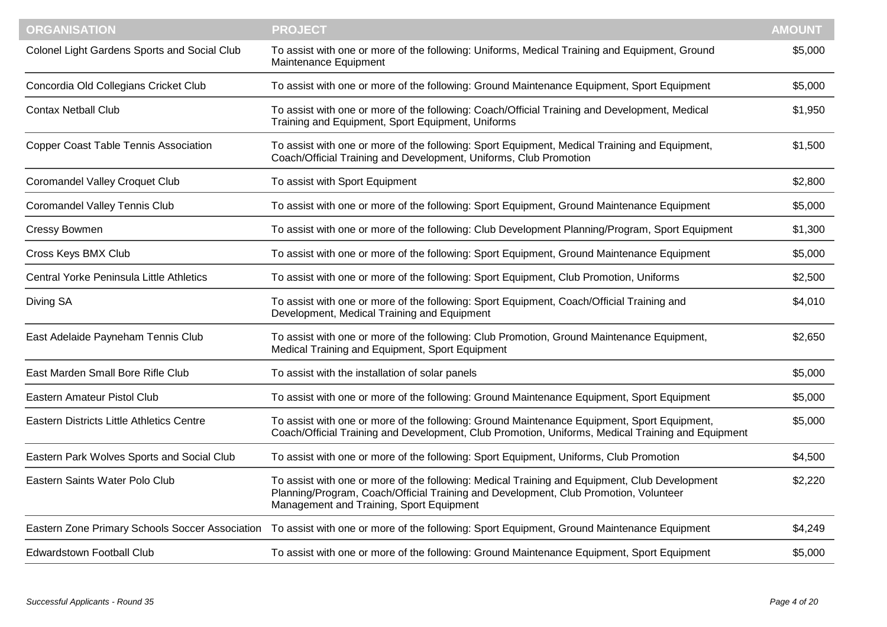| <b>ORGANISATION</b>                          | <b>PROJECT</b>                                                                                                                                                                                                                    | <b>AMOUNT</b> |
|----------------------------------------------|-----------------------------------------------------------------------------------------------------------------------------------------------------------------------------------------------------------------------------------|---------------|
| Colonel Light Gardens Sports and Social Club | To assist with one or more of the following: Uniforms, Medical Training and Equipment, Ground<br>Maintenance Equipment                                                                                                            | \$5,000       |
| Concordia Old Collegians Cricket Club        | To assist with one or more of the following: Ground Maintenance Equipment, Sport Equipment                                                                                                                                        | \$5,000       |
| <b>Contax Netball Club</b>                   | To assist with one or more of the following: Coach/Official Training and Development, Medical<br>Training and Equipment, Sport Equipment, Uniforms                                                                                | \$1,950       |
| <b>Copper Coast Table Tennis Association</b> | To assist with one or more of the following: Sport Equipment, Medical Training and Equipment,<br>Coach/Official Training and Development, Uniforms, Club Promotion                                                                | \$1,500       |
| Coromandel Valley Croquet Club               | To assist with Sport Equipment                                                                                                                                                                                                    | \$2,800       |
| <b>Coromandel Valley Tennis Club</b>         | To assist with one or more of the following: Sport Equipment, Ground Maintenance Equipment                                                                                                                                        | \$5,000       |
| <b>Cressy Bowmen</b>                         | To assist with one or more of the following: Club Development Planning/Program, Sport Equipment                                                                                                                                   | \$1,300       |
| Cross Keys BMX Club                          | To assist with one or more of the following: Sport Equipment, Ground Maintenance Equipment                                                                                                                                        | \$5,000       |
| Central Yorke Peninsula Little Athletics     | To assist with one or more of the following: Sport Equipment, Club Promotion, Uniforms                                                                                                                                            | \$2,500       |
| Diving SA                                    | To assist with one or more of the following: Sport Equipment, Coach/Official Training and<br>Development, Medical Training and Equipment                                                                                          | \$4,010       |
| East Adelaide Payneham Tennis Club           | To assist with one or more of the following: Club Promotion, Ground Maintenance Equipment,<br>Medical Training and Equipment, Sport Equipment                                                                                     | \$2,650       |
| East Marden Small Bore Rifle Club            | To assist with the installation of solar panels                                                                                                                                                                                   | \$5,000       |
| Eastern Amateur Pistol Club                  | To assist with one or more of the following: Ground Maintenance Equipment, Sport Equipment                                                                                                                                        | \$5,000       |
| Eastern Districts Little Athletics Centre    | To assist with one or more of the following: Ground Maintenance Equipment, Sport Equipment,<br>Coach/Official Training and Development, Club Promotion, Uniforms, Medical Training and Equipment                                  | \$5,000       |
| Eastern Park Wolves Sports and Social Club   | To assist with one or more of the following: Sport Equipment, Uniforms, Club Promotion                                                                                                                                            | \$4,500       |
| Eastern Saints Water Polo Club               | To assist with one or more of the following: Medical Training and Equipment, Club Development<br>Planning/Program, Coach/Official Training and Development, Club Promotion, Volunteer<br>Management and Training, Sport Equipment | \$2,220       |
|                                              | Eastern Zone Primary Schools Soccer Association To assist with one or more of the following: Sport Equipment, Ground Maintenance Equipment                                                                                        | \$4,249       |
| <b>Edwardstown Football Club</b>             | To assist with one or more of the following: Ground Maintenance Equipment, Sport Equipment                                                                                                                                        | \$5,000       |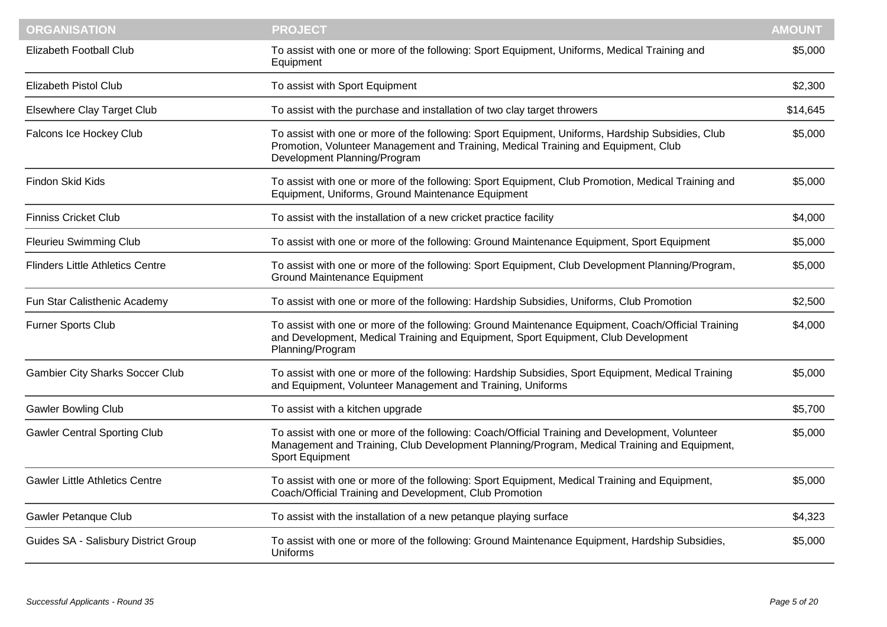| <b>ORGANISATION</b>                     | <b>PROJECT</b>                                                                                                                                                                                                         | <b>AMOUNT</b> |
|-----------------------------------------|------------------------------------------------------------------------------------------------------------------------------------------------------------------------------------------------------------------------|---------------|
| Elizabeth Football Club                 | To assist with one or more of the following: Sport Equipment, Uniforms, Medical Training and<br>Equipment                                                                                                              | \$5,000       |
| <b>Elizabeth Pistol Club</b>            | To assist with Sport Equipment                                                                                                                                                                                         | \$2,300       |
| Elsewhere Clay Target Club              | To assist with the purchase and installation of two clay target throwers                                                                                                                                               | \$14,645      |
| Falcons Ice Hockey Club                 | To assist with one or more of the following: Sport Equipment, Uniforms, Hardship Subsidies, Club<br>Promotion, Volunteer Management and Training, Medical Training and Equipment, Club<br>Development Planning/Program | \$5,000       |
| Findon Skid Kids                        | To assist with one or more of the following: Sport Equipment, Club Promotion, Medical Training and<br>Equipment, Uniforms, Ground Maintenance Equipment                                                                | \$5,000       |
| <b>Finniss Cricket Club</b>             | To assist with the installation of a new cricket practice facility                                                                                                                                                     | \$4,000       |
| <b>Fleurieu Swimming Club</b>           | To assist with one or more of the following: Ground Maintenance Equipment, Sport Equipment                                                                                                                             | \$5,000       |
| <b>Flinders Little Athletics Centre</b> | To assist with one or more of the following: Sport Equipment, Club Development Planning/Program,<br><b>Ground Maintenance Equipment</b>                                                                                | \$5,000       |
| Fun Star Calisthenic Academy            | To assist with one or more of the following: Hardship Subsidies, Uniforms, Club Promotion                                                                                                                              | \$2,500       |
| Furner Sports Club                      | To assist with one or more of the following: Ground Maintenance Equipment, Coach/Official Training<br>and Development, Medical Training and Equipment, Sport Equipment, Club Development<br>Planning/Program           | \$4,000       |
| <b>Gambier City Sharks Soccer Club</b>  | To assist with one or more of the following: Hardship Subsidies, Sport Equipment, Medical Training<br>and Equipment, Volunteer Management and Training, Uniforms                                                       | \$5,000       |
| <b>Gawler Bowling Club</b>              | To assist with a kitchen upgrade                                                                                                                                                                                       | \$5,700       |
| <b>Gawler Central Sporting Club</b>     | To assist with one or more of the following: Coach/Official Training and Development, Volunteer<br>Management and Training, Club Development Planning/Program, Medical Training and Equipment,<br>Sport Equipment      | \$5,000       |
| <b>Gawler Little Athletics Centre</b>   | To assist with one or more of the following: Sport Equipment, Medical Training and Equipment,<br>Coach/Official Training and Development, Club Promotion                                                               | \$5,000       |
| <b>Gawler Petanque Club</b>             | To assist with the installation of a new petanque playing surface                                                                                                                                                      | \$4,323       |
| Guides SA - Salisbury District Group    | To assist with one or more of the following: Ground Maintenance Equipment, Hardship Subsidies,<br><b>Uniforms</b>                                                                                                      | \$5,000       |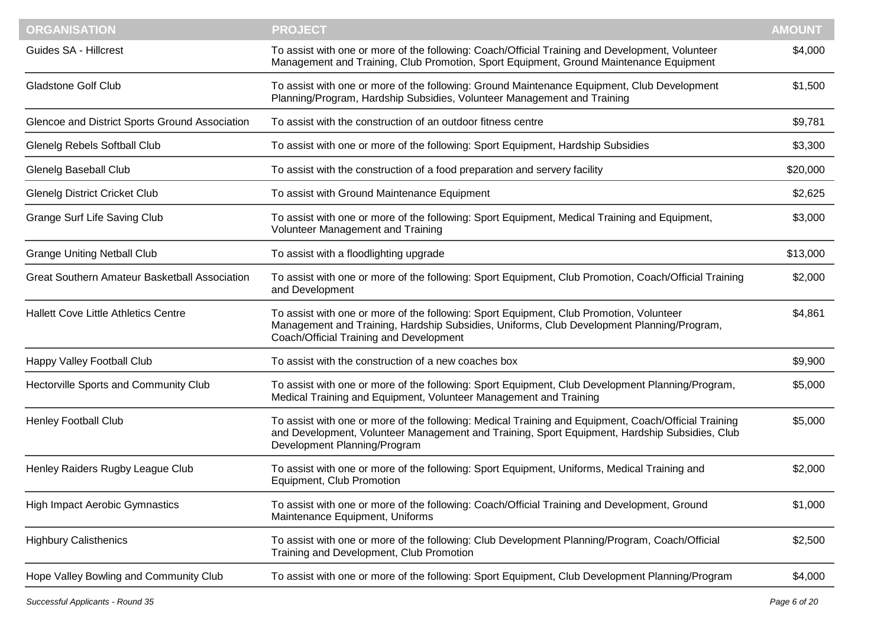| <b>ORGANISATION</b>                                  | <b>PROJECT</b>                                                                                                                                                                                                                        | <b>AMOUNT</b> |
|------------------------------------------------------|---------------------------------------------------------------------------------------------------------------------------------------------------------------------------------------------------------------------------------------|---------------|
| Guides SA - Hillcrest                                | To assist with one or more of the following: Coach/Official Training and Development, Volunteer<br>Management and Training, Club Promotion, Sport Equipment, Ground Maintenance Equipment                                             | \$4,000       |
| <b>Gladstone Golf Club</b>                           | To assist with one or more of the following: Ground Maintenance Equipment, Club Development<br>Planning/Program, Hardship Subsidies, Volunteer Management and Training                                                                | \$1,500       |
| Glencoe and District Sports Ground Association       | To assist with the construction of an outdoor fitness centre                                                                                                                                                                          | \$9,781       |
| <b>Glenelg Rebels Softball Club</b>                  | To assist with one or more of the following: Sport Equipment, Hardship Subsidies                                                                                                                                                      | \$3,300       |
| <b>Glenelg Baseball Club</b>                         | To assist with the construction of a food preparation and servery facility                                                                                                                                                            | \$20,000      |
| <b>Glenelg District Cricket Club</b>                 | To assist with Ground Maintenance Equipment                                                                                                                                                                                           | \$2,625       |
| <b>Grange Surf Life Saving Club</b>                  | To assist with one or more of the following: Sport Equipment, Medical Training and Equipment,<br>Volunteer Management and Training                                                                                                    | \$3,000       |
| <b>Grange Uniting Netball Club</b>                   | To assist with a floodlighting upgrade                                                                                                                                                                                                | \$13,000      |
| <b>Great Southern Amateur Basketball Association</b> | To assist with one or more of the following: Sport Equipment, Club Promotion, Coach/Official Training<br>and Development                                                                                                              | \$2,000       |
| <b>Hallett Cove Little Athletics Centre</b>          | To assist with one or more of the following: Sport Equipment, Club Promotion, Volunteer<br>Management and Training, Hardship Subsidies, Uniforms, Club Development Planning/Program,<br>Coach/Official Training and Development       | \$4,861       |
| Happy Valley Football Club                           | To assist with the construction of a new coaches box                                                                                                                                                                                  | \$9,900       |
| Hectorville Sports and Community Club                | To assist with one or more of the following: Sport Equipment, Club Development Planning/Program,<br>Medical Training and Equipment, Volunteer Management and Training                                                                 | \$5,000       |
| <b>Henley Football Club</b>                          | To assist with one or more of the following: Medical Training and Equipment, Coach/Official Training<br>and Development, Volunteer Management and Training, Sport Equipment, Hardship Subsidies, Club<br>Development Planning/Program | \$5,000       |
| Henley Raiders Rugby League Club                     | To assist with one or more of the following: Sport Equipment, Uniforms, Medical Training and<br>Equipment, Club Promotion                                                                                                             | \$2,000       |
| <b>High Impact Aerobic Gymnastics</b>                | To assist with one or more of the following: Coach/Official Training and Development, Ground<br>Maintenance Equipment, Uniforms                                                                                                       | \$1,000       |
| <b>Highbury Calisthenics</b>                         | To assist with one or more of the following: Club Development Planning/Program, Coach/Official<br>Training and Development, Club Promotion                                                                                            | \$2,500       |
| Hope Valley Bowling and Community Club               | To assist with one or more of the following: Sport Equipment, Club Development Planning/Program                                                                                                                                       | \$4,000       |
|                                                      |                                                                                                                                                                                                                                       |               |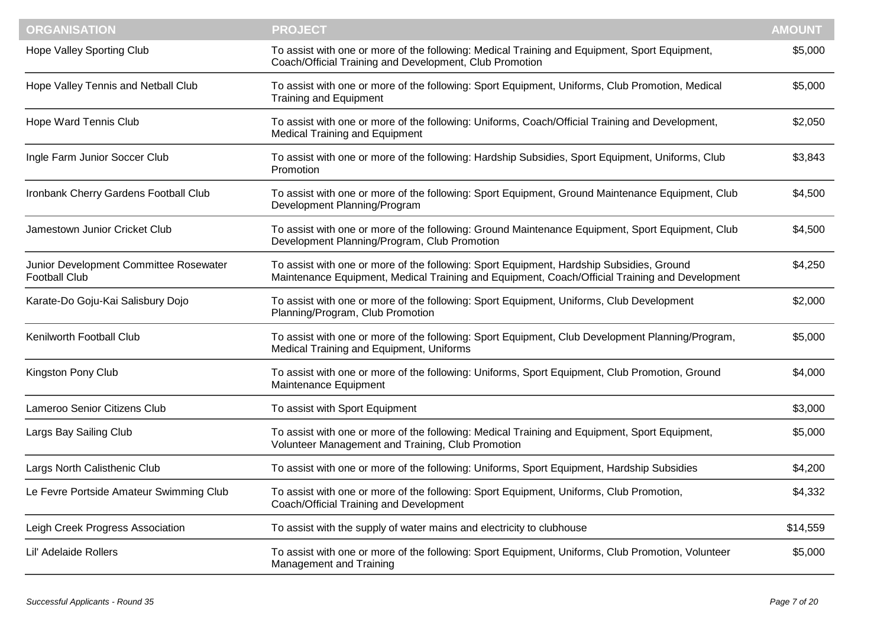| <b>ORGANISATION</b>                                            | <b>PROJECT</b>                                                                                                                                                                             | <b>AMOUNT</b> |
|----------------------------------------------------------------|--------------------------------------------------------------------------------------------------------------------------------------------------------------------------------------------|---------------|
| Hope Valley Sporting Club                                      | To assist with one or more of the following: Medical Training and Equipment, Sport Equipment,<br>Coach/Official Training and Development, Club Promotion                                   | \$5,000       |
| Hope Valley Tennis and Netball Club                            | To assist with one or more of the following: Sport Equipment, Uniforms, Club Promotion, Medical<br><b>Training and Equipment</b>                                                           | \$5,000       |
| Hope Ward Tennis Club                                          | To assist with one or more of the following: Uniforms, Coach/Official Training and Development,<br><b>Medical Training and Equipment</b>                                                   | \$2,050       |
| Ingle Farm Junior Soccer Club                                  | To assist with one or more of the following: Hardship Subsidies, Sport Equipment, Uniforms, Club<br>Promotion                                                                              | \$3,843       |
| Ironbank Cherry Gardens Football Club                          | To assist with one or more of the following: Sport Equipment, Ground Maintenance Equipment, Club<br>Development Planning/Program                                                           | \$4,500       |
| Jamestown Junior Cricket Club                                  | To assist with one or more of the following: Ground Maintenance Equipment, Sport Equipment, Club<br>Development Planning/Program, Club Promotion                                           | \$4,500       |
| Junior Development Committee Rosewater<br><b>Football Club</b> | To assist with one or more of the following: Sport Equipment, Hardship Subsidies, Ground<br>Maintenance Equipment, Medical Training and Equipment, Coach/Official Training and Development | \$4,250       |
| Karate-Do Goju-Kai Salisbury Dojo                              | To assist with one or more of the following: Sport Equipment, Uniforms, Club Development<br>Planning/Program, Club Promotion                                                               | \$2,000       |
| Kenilworth Football Club                                       | To assist with one or more of the following: Sport Equipment, Club Development Planning/Program,<br>Medical Training and Equipment, Uniforms                                               | \$5,000       |
| Kingston Pony Club                                             | To assist with one or more of the following: Uniforms, Sport Equipment, Club Promotion, Ground<br>Maintenance Equipment                                                                    | \$4,000       |
| Lameroo Senior Citizens Club                                   | To assist with Sport Equipment                                                                                                                                                             | \$3,000       |
| Largs Bay Sailing Club                                         | To assist with one or more of the following: Medical Training and Equipment, Sport Equipment,<br>Volunteer Management and Training, Club Promotion                                         | \$5,000       |
| Largs North Calisthenic Club                                   | To assist with one or more of the following: Uniforms, Sport Equipment, Hardship Subsidies                                                                                                 | \$4,200       |
| Le Fevre Portside Amateur Swimming Club                        | To assist with one or more of the following: Sport Equipment, Uniforms, Club Promotion,<br>Coach/Official Training and Development                                                         | \$4,332       |
| Leigh Creek Progress Association                               | To assist with the supply of water mains and electricity to clubhouse                                                                                                                      | \$14,559      |
| Lil' Adelaide Rollers                                          | To assist with one or more of the following: Sport Equipment, Uniforms, Club Promotion, Volunteer<br>Management and Training                                                               | \$5,000       |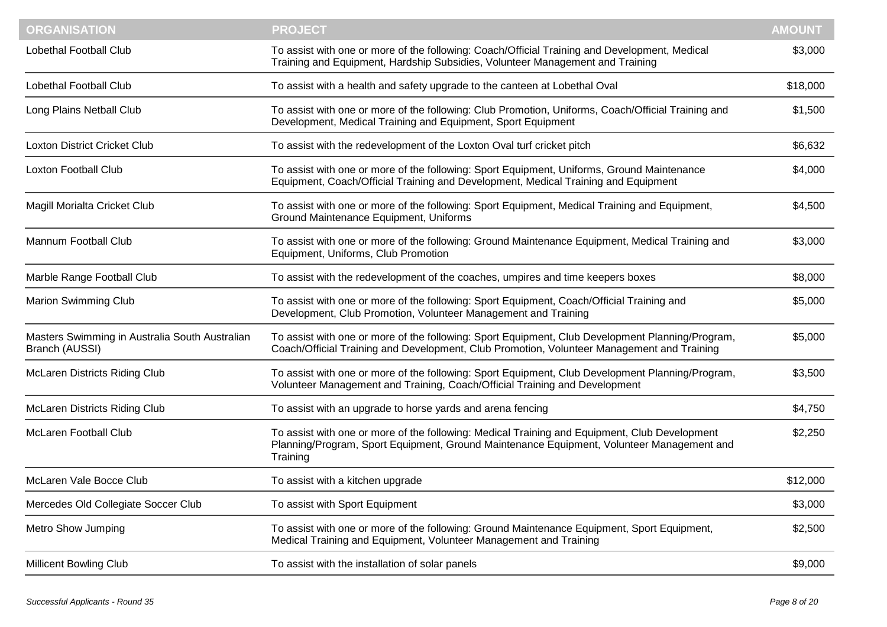| <b>ORGANISATION</b>                                              | <b>PROJECT</b>                                                                                                                                                                                         | <b>AMOUNT</b> |
|------------------------------------------------------------------|--------------------------------------------------------------------------------------------------------------------------------------------------------------------------------------------------------|---------------|
| <b>Lobethal Football Club</b>                                    | To assist with one or more of the following: Coach/Official Training and Development, Medical<br>Training and Equipment, Hardship Subsidies, Volunteer Management and Training                         | \$3,000       |
| Lobethal Football Club                                           | To assist with a health and safety upgrade to the canteen at Lobethal Oval                                                                                                                             | \$18,000      |
| Long Plains Netball Club                                         | To assist with one or more of the following: Club Promotion, Uniforms, Coach/Official Training and<br>Development, Medical Training and Equipment, Sport Equipment                                     | \$1,500       |
| <b>Loxton District Cricket Club</b>                              | To assist with the redevelopment of the Loxton Oval turf cricket pitch                                                                                                                                 | \$6,632       |
| <b>Loxton Football Club</b>                                      | To assist with one or more of the following: Sport Equipment, Uniforms, Ground Maintenance<br>Equipment, Coach/Official Training and Development, Medical Training and Equipment                       | \$4,000       |
| Magill Morialta Cricket Club                                     | To assist with one or more of the following: Sport Equipment, Medical Training and Equipment,<br>Ground Maintenance Equipment, Uniforms                                                                | \$4,500       |
| Mannum Football Club                                             | To assist with one or more of the following: Ground Maintenance Equipment, Medical Training and<br>Equipment, Uniforms, Club Promotion                                                                 | \$3,000       |
| Marble Range Football Club                                       | To assist with the redevelopment of the coaches, umpires and time keepers boxes                                                                                                                        | \$8,000       |
| <b>Marion Swimming Club</b>                                      | To assist with one or more of the following: Sport Equipment, Coach/Official Training and<br>Development, Club Promotion, Volunteer Management and Training                                            | \$5,000       |
| Masters Swimming in Australia South Australian<br>Branch (AUSSI) | To assist with one or more of the following: Sport Equipment, Club Development Planning/Program,<br>Coach/Official Training and Development, Club Promotion, Volunteer Management and Training         | \$5,000       |
| <b>McLaren Districts Riding Club</b>                             | To assist with one or more of the following: Sport Equipment, Club Development Planning/Program,<br>Volunteer Management and Training, Coach/Official Training and Development                         | \$3,500       |
| <b>McLaren Districts Riding Club</b>                             | To assist with an upgrade to horse yards and arena fencing                                                                                                                                             | \$4,750       |
| <b>McLaren Football Club</b>                                     | To assist with one or more of the following: Medical Training and Equipment, Club Development<br>Planning/Program, Sport Equipment, Ground Maintenance Equipment, Volunteer Management and<br>Training | \$2,250       |
| McLaren Vale Bocce Club                                          | To assist with a kitchen upgrade                                                                                                                                                                       | \$12,000      |
| Mercedes Old Collegiate Soccer Club                              | To assist with Sport Equipment                                                                                                                                                                         | \$3,000       |
| <b>Metro Show Jumping</b>                                        | To assist with one or more of the following: Ground Maintenance Equipment, Sport Equipment,<br>Medical Training and Equipment, Volunteer Management and Training                                       | \$2,500       |
| <b>Millicent Bowling Club</b>                                    | To assist with the installation of solar panels                                                                                                                                                        | \$9,000       |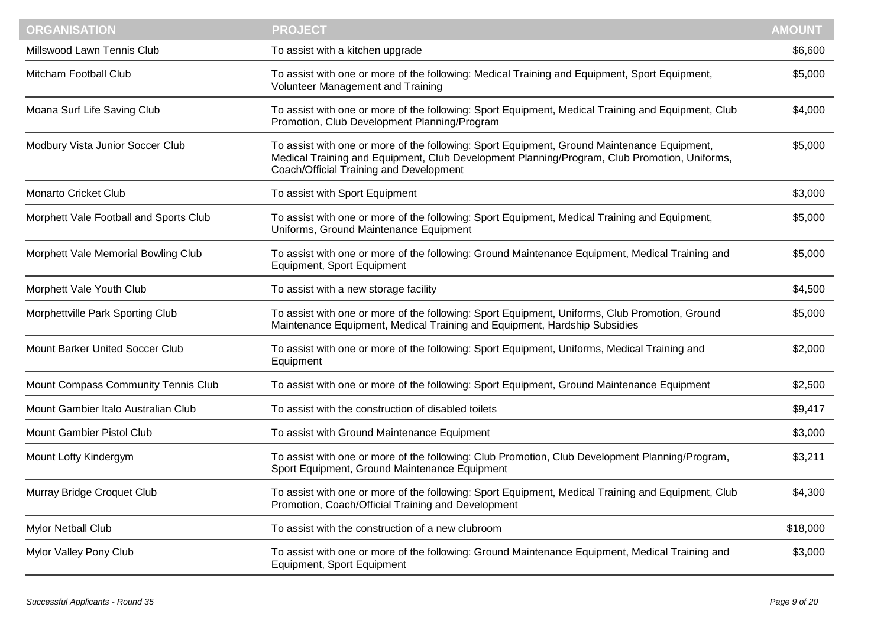| <b>ORGANISATION</b>                    | <b>PROJECT</b>                                                                                                                                                                                                                         | <b>AMOUNT</b> |
|----------------------------------------|----------------------------------------------------------------------------------------------------------------------------------------------------------------------------------------------------------------------------------------|---------------|
| Millswood Lawn Tennis Club             | To assist with a kitchen upgrade                                                                                                                                                                                                       | \$6,600       |
| Mitcham Football Club                  | To assist with one or more of the following: Medical Training and Equipment, Sport Equipment,<br>Volunteer Management and Training                                                                                                     | \$5,000       |
| Moana Surf Life Saving Club            | To assist with one or more of the following: Sport Equipment, Medical Training and Equipment, Club<br>Promotion, Club Development Planning/Program                                                                                     | \$4,000       |
| Modbury Vista Junior Soccer Club       | To assist with one or more of the following: Sport Equipment, Ground Maintenance Equipment,<br>Medical Training and Equipment, Club Development Planning/Program, Club Promotion, Uniforms,<br>Coach/Official Training and Development | \$5,000       |
| <b>Monarto Cricket Club</b>            | To assist with Sport Equipment                                                                                                                                                                                                         | \$3,000       |
| Morphett Vale Football and Sports Club | To assist with one or more of the following: Sport Equipment, Medical Training and Equipment,<br>Uniforms, Ground Maintenance Equipment                                                                                                | \$5,000       |
| Morphett Vale Memorial Bowling Club    | To assist with one or more of the following: Ground Maintenance Equipment, Medical Training and<br>Equipment, Sport Equipment                                                                                                          | \$5,000       |
| Morphett Vale Youth Club               | To assist with a new storage facility                                                                                                                                                                                                  | \$4,500       |
| Morphettville Park Sporting Club       | To assist with one or more of the following: Sport Equipment, Uniforms, Club Promotion, Ground<br>Maintenance Equipment, Medical Training and Equipment, Hardship Subsidies                                                            | \$5,000       |
| Mount Barker United Soccer Club        | To assist with one or more of the following: Sport Equipment, Uniforms, Medical Training and<br>Equipment                                                                                                                              | \$2,000       |
| Mount Compass Community Tennis Club    | To assist with one or more of the following: Sport Equipment, Ground Maintenance Equipment                                                                                                                                             | \$2,500       |
| Mount Gambier Italo Australian Club    | To assist with the construction of disabled toilets                                                                                                                                                                                    | \$9,417       |
| <b>Mount Gambier Pistol Club</b>       | To assist with Ground Maintenance Equipment                                                                                                                                                                                            | \$3,000       |
| Mount Lofty Kindergym                  | To assist with one or more of the following: Club Promotion, Club Development Planning/Program,<br>Sport Equipment, Ground Maintenance Equipment                                                                                       | \$3,211       |
| Murray Bridge Croquet Club             | To assist with one or more of the following: Sport Equipment, Medical Training and Equipment, Club<br>Promotion, Coach/Official Training and Development                                                                               | \$4,300       |
| Mylor Netball Club                     | To assist with the construction of a new clubroom                                                                                                                                                                                      | \$18,000      |
| Mylor Valley Pony Club                 | To assist with one or more of the following: Ground Maintenance Equipment, Medical Training and<br>Equipment, Sport Equipment                                                                                                          | \$3,000       |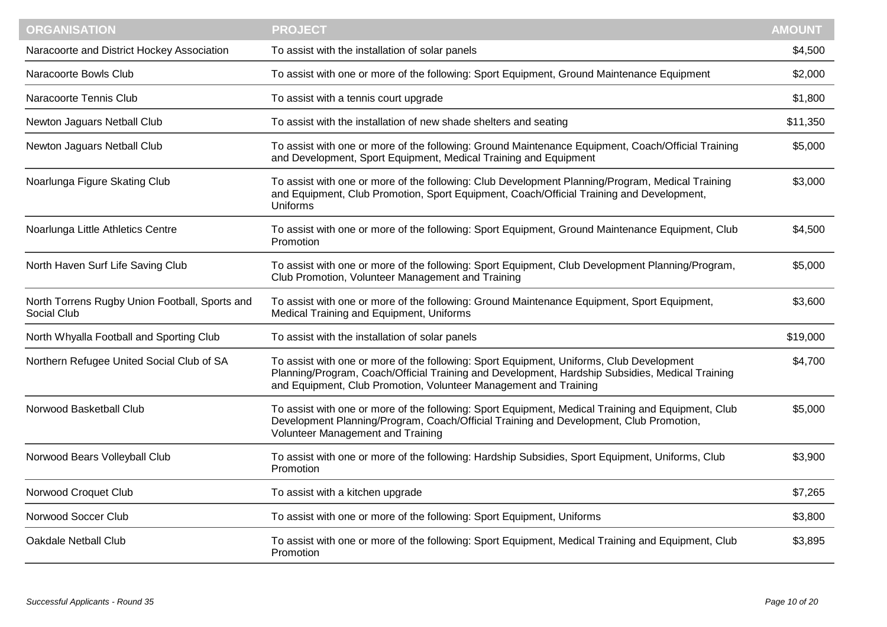| <b>ORGANISATION</b>                                           | <b>PROJECT</b>                                                                                                                                                                                                                                                  | <b>AMOUNT</b> |
|---------------------------------------------------------------|-----------------------------------------------------------------------------------------------------------------------------------------------------------------------------------------------------------------------------------------------------------------|---------------|
| Naracoorte and District Hockey Association                    | To assist with the installation of solar panels                                                                                                                                                                                                                 | \$4,500       |
| Naracoorte Bowls Club                                         | To assist with one or more of the following: Sport Equipment, Ground Maintenance Equipment                                                                                                                                                                      | \$2,000       |
| Naracoorte Tennis Club                                        | To assist with a tennis court upgrade                                                                                                                                                                                                                           | \$1,800       |
| Newton Jaguars Netball Club                                   | To assist with the installation of new shade shelters and seating                                                                                                                                                                                               | \$11,350      |
| Newton Jaguars Netball Club                                   | To assist with one or more of the following: Ground Maintenance Equipment, Coach/Official Training<br>and Development, Sport Equipment, Medical Training and Equipment                                                                                          | \$5,000       |
| Noarlunga Figure Skating Club                                 | To assist with one or more of the following: Club Development Planning/Program, Medical Training<br>and Equipment, Club Promotion, Sport Equipment, Coach/Official Training and Development,<br><b>Uniforms</b>                                                 | \$3,000       |
| Noarlunga Little Athletics Centre                             | To assist with one or more of the following: Sport Equipment, Ground Maintenance Equipment, Club<br>Promotion                                                                                                                                                   | \$4,500       |
| North Haven Surf Life Saving Club                             | To assist with one or more of the following: Sport Equipment, Club Development Planning/Program,<br>Club Promotion, Volunteer Management and Training                                                                                                           | \$5,000       |
| North Torrens Rugby Union Football, Sports and<br>Social Club | To assist with one or more of the following: Ground Maintenance Equipment, Sport Equipment,<br>Medical Training and Equipment, Uniforms                                                                                                                         | \$3,600       |
| North Whyalla Football and Sporting Club                      | To assist with the installation of solar panels                                                                                                                                                                                                                 | \$19,000      |
| Northern Refugee United Social Club of SA                     | To assist with one or more of the following: Sport Equipment, Uniforms, Club Development<br>Planning/Program, Coach/Official Training and Development, Hardship Subsidies, Medical Training<br>and Equipment, Club Promotion, Volunteer Management and Training | \$4,700       |
| Norwood Basketball Club                                       | To assist with one or more of the following: Sport Equipment, Medical Training and Equipment, Club<br>Development Planning/Program, Coach/Official Training and Development, Club Promotion,<br>Volunteer Management and Training                               | \$5,000       |
| Norwood Bears Volleyball Club                                 | To assist with one or more of the following: Hardship Subsidies, Sport Equipment, Uniforms, Club<br>Promotion                                                                                                                                                   | \$3,900       |
| Norwood Croquet Club                                          | To assist with a kitchen upgrade                                                                                                                                                                                                                                | \$7,265       |
| Norwood Soccer Club                                           | To assist with one or more of the following: Sport Equipment, Uniforms                                                                                                                                                                                          | \$3,800       |
| <b>Oakdale Netball Club</b>                                   | To assist with one or more of the following: Sport Equipment, Medical Training and Equipment, Club<br>Promotion                                                                                                                                                 | \$3,895       |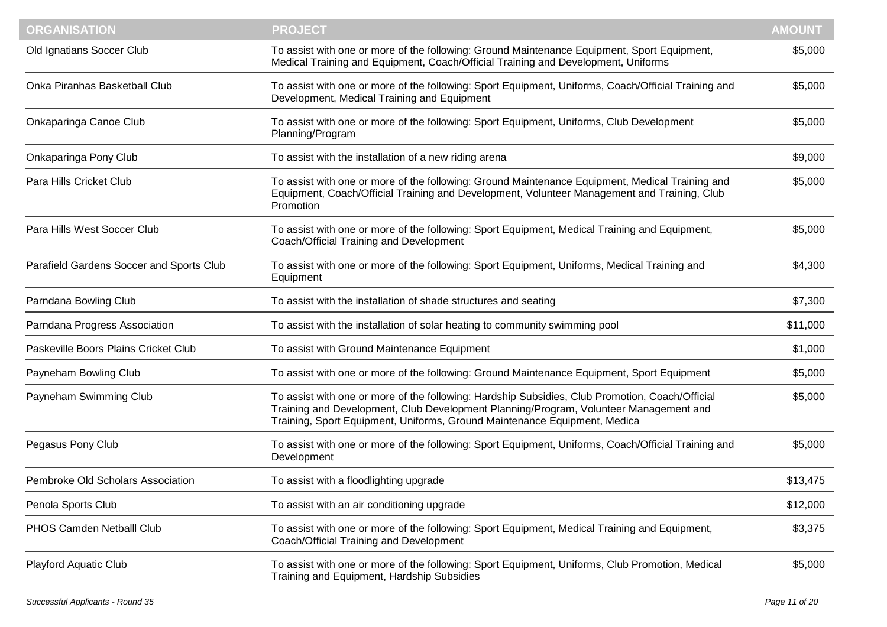| <b>ORGANISATION</b>                      | <b>PROJECT</b>                                                                                                                                                                                                                                                        | <b>AMOUNT</b> |
|------------------------------------------|-----------------------------------------------------------------------------------------------------------------------------------------------------------------------------------------------------------------------------------------------------------------------|---------------|
| Old Ignatians Soccer Club                | To assist with one or more of the following: Ground Maintenance Equipment, Sport Equipment,<br>Medical Training and Equipment, Coach/Official Training and Development, Uniforms                                                                                      | \$5,000       |
| Onka Piranhas Basketball Club            | To assist with one or more of the following: Sport Equipment, Uniforms, Coach/Official Training and<br>Development, Medical Training and Equipment                                                                                                                    | \$5,000       |
| Onkaparinga Canoe Club                   | To assist with one or more of the following: Sport Equipment, Uniforms, Club Development<br>Planning/Program                                                                                                                                                          | \$5,000       |
| Onkaparinga Pony Club                    | To assist with the installation of a new riding arena                                                                                                                                                                                                                 | \$9,000       |
| Para Hills Cricket Club                  | To assist with one or more of the following: Ground Maintenance Equipment, Medical Training and<br>Equipment, Coach/Official Training and Development, Volunteer Management and Training, Club<br>Promotion                                                           | \$5,000       |
| Para Hills West Soccer Club              | To assist with one or more of the following: Sport Equipment, Medical Training and Equipment,<br>Coach/Official Training and Development                                                                                                                              | \$5,000       |
| Parafield Gardens Soccer and Sports Club | To assist with one or more of the following: Sport Equipment, Uniforms, Medical Training and<br>Equipment                                                                                                                                                             | \$4,300       |
| Parndana Bowling Club                    | To assist with the installation of shade structures and seating                                                                                                                                                                                                       | \$7,300       |
| Parndana Progress Association            | To assist with the installation of solar heating to community swimming pool                                                                                                                                                                                           | \$11,000      |
| Paskeville Boors Plains Cricket Club     | To assist with Ground Maintenance Equipment                                                                                                                                                                                                                           | \$1,000       |
| Payneham Bowling Club                    | To assist with one or more of the following: Ground Maintenance Equipment, Sport Equipment                                                                                                                                                                            | \$5,000       |
| Payneham Swimming Club                   | To assist with one or more of the following: Hardship Subsidies, Club Promotion, Coach/Official<br>Training and Development, Club Development Planning/Program, Volunteer Management and<br>Training, Sport Equipment, Uniforms, Ground Maintenance Equipment, Medica | \$5,000       |
| Pegasus Pony Club                        | To assist with one or more of the following: Sport Equipment, Uniforms, Coach/Official Training and<br>Development                                                                                                                                                    | \$5,000       |
| Pembroke Old Scholars Association        | To assist with a floodlighting upgrade                                                                                                                                                                                                                                | \$13,475      |
| Penola Sports Club                       | To assist with an air conditioning upgrade                                                                                                                                                                                                                            | \$12,000      |
| PHOS Camden Netballl Club                | To assist with one or more of the following: Sport Equipment, Medical Training and Equipment,<br>Coach/Official Training and Development                                                                                                                              | \$3,375       |
| Playford Aquatic Club                    | To assist with one or more of the following: Sport Equipment, Uniforms, Club Promotion, Medical<br>Training and Equipment, Hardship Subsidies                                                                                                                         | \$5,000       |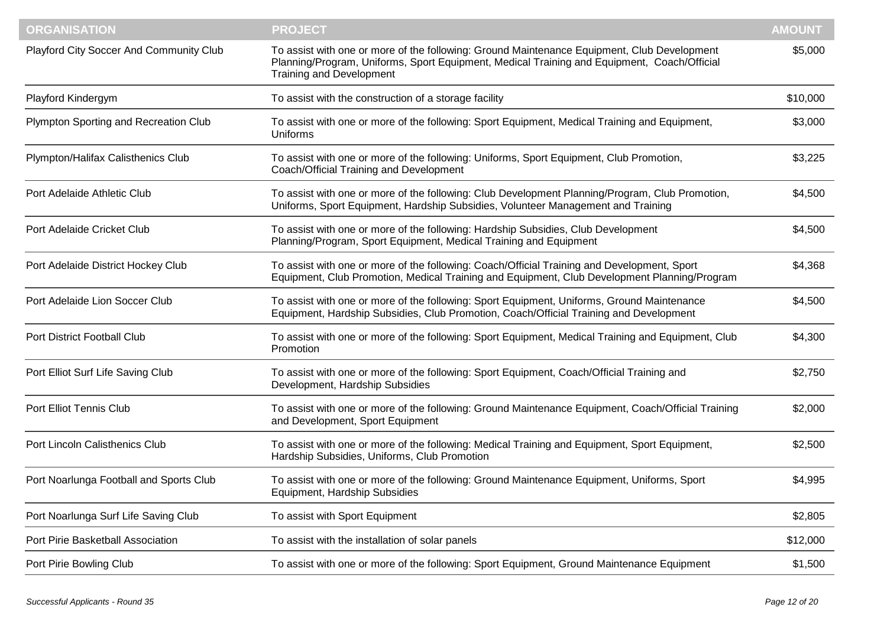| <b>ORGANISATION</b>                     | <b>PROJECT</b>                                                                                                                                                                                                                | <b>AMOUNT</b> |
|-----------------------------------------|-------------------------------------------------------------------------------------------------------------------------------------------------------------------------------------------------------------------------------|---------------|
| Playford City Soccer And Community Club | To assist with one or more of the following: Ground Maintenance Equipment, Club Development<br>Planning/Program, Uniforms, Sport Equipment, Medical Training and Equipment, Coach/Official<br><b>Training and Development</b> | \$5,000       |
| Playford Kindergym                      | To assist with the construction of a storage facility                                                                                                                                                                         | \$10,000      |
| Plympton Sporting and Recreation Club   | To assist with one or more of the following: Sport Equipment, Medical Training and Equipment,<br>Uniforms                                                                                                                     | \$3,000       |
| Plympton/Halifax Calisthenics Club      | To assist with one or more of the following: Uniforms, Sport Equipment, Club Promotion,<br>Coach/Official Training and Development                                                                                            | \$3,225       |
| Port Adelaide Athletic Club             | To assist with one or more of the following: Club Development Planning/Program, Club Promotion,<br>Uniforms, Sport Equipment, Hardship Subsidies, Volunteer Management and Training                                           | \$4,500       |
| Port Adelaide Cricket Club              | To assist with one or more of the following: Hardship Subsidies, Club Development<br>Planning/Program, Sport Equipment, Medical Training and Equipment                                                                        | \$4,500       |
| Port Adelaide District Hockey Club      | To assist with one or more of the following: Coach/Official Training and Development, Sport<br>Equipment, Club Promotion, Medical Training and Equipment, Club Development Planning/Program                                   | \$4,368       |
| Port Adelaide Lion Soccer Club          | To assist with one or more of the following: Sport Equipment, Uniforms, Ground Maintenance<br>Equipment, Hardship Subsidies, Club Promotion, Coach/Official Training and Development                                          | \$4,500       |
| Port District Football Club             | To assist with one or more of the following: Sport Equipment, Medical Training and Equipment, Club<br>Promotion                                                                                                               | \$4,300       |
| Port Elliot Surf Life Saving Club       | To assist with one or more of the following: Sport Equipment, Coach/Official Training and<br>Development, Hardship Subsidies                                                                                                  | \$2,750       |
| Port Elliot Tennis Club                 | To assist with one or more of the following: Ground Maintenance Equipment, Coach/Official Training<br>and Development, Sport Equipment                                                                                        | \$2,000       |
| Port Lincoln Calisthenics Club          | To assist with one or more of the following: Medical Training and Equipment, Sport Equipment,<br>Hardship Subsidies, Uniforms, Club Promotion                                                                                 | \$2,500       |
| Port Noarlunga Football and Sports Club | To assist with one or more of the following: Ground Maintenance Equipment, Uniforms, Sport<br>Equipment, Hardship Subsidies                                                                                                   | \$4,995       |
| Port Noarlunga Surf Life Saving Club    | To assist with Sport Equipment                                                                                                                                                                                                | \$2,805       |
| Port Pirie Basketball Association       | To assist with the installation of solar panels                                                                                                                                                                               | \$12,000      |
| Port Pirie Bowling Club                 | To assist with one or more of the following: Sport Equipment, Ground Maintenance Equipment                                                                                                                                    | \$1,500       |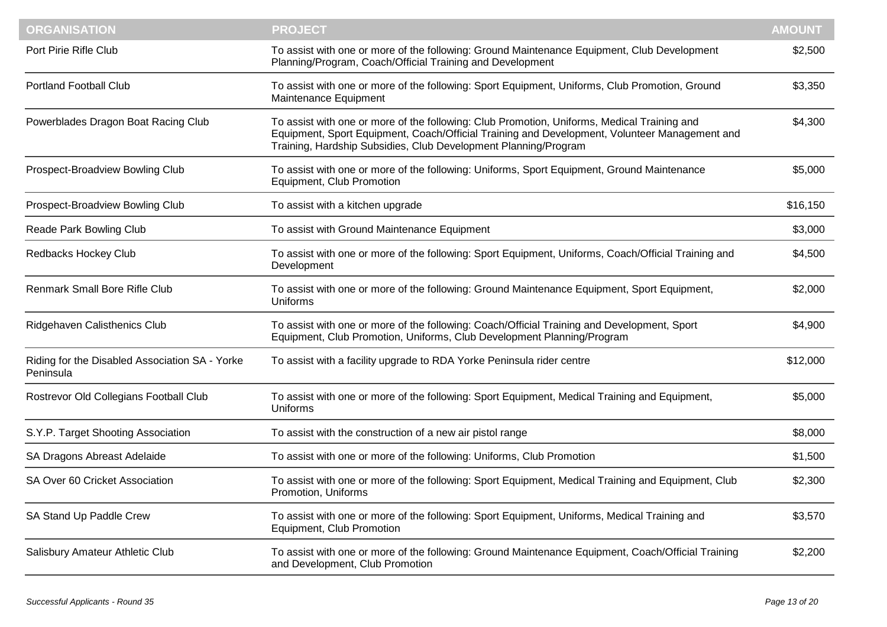| <b>ORGANISATION</b>                                         | <b>PROJECT</b>                                                                                                                                                                                                                                                  | <b>AMOUNT</b> |
|-------------------------------------------------------------|-----------------------------------------------------------------------------------------------------------------------------------------------------------------------------------------------------------------------------------------------------------------|---------------|
| Port Pirie Rifle Club                                       | To assist with one or more of the following: Ground Maintenance Equipment, Club Development<br>Planning/Program, Coach/Official Training and Development                                                                                                        | \$2,500       |
| <b>Portland Football Club</b>                               | To assist with one or more of the following: Sport Equipment, Uniforms, Club Promotion, Ground<br>Maintenance Equipment                                                                                                                                         | \$3,350       |
| Powerblades Dragon Boat Racing Club                         | To assist with one or more of the following: Club Promotion, Uniforms, Medical Training and<br>Equipment, Sport Equipment, Coach/Official Training and Development, Volunteer Management and<br>Training, Hardship Subsidies, Club Development Planning/Program | \$4,300       |
| Prospect-Broadview Bowling Club                             | To assist with one or more of the following: Uniforms, Sport Equipment, Ground Maintenance<br>Equipment, Club Promotion                                                                                                                                         | \$5,000       |
| Prospect-Broadview Bowling Club                             | To assist with a kitchen upgrade                                                                                                                                                                                                                                | \$16,150      |
| Reade Park Bowling Club                                     | To assist with Ground Maintenance Equipment                                                                                                                                                                                                                     | \$3,000       |
| Redbacks Hockey Club                                        | To assist with one or more of the following: Sport Equipment, Uniforms, Coach/Official Training and<br>Development                                                                                                                                              | \$4,500       |
| Renmark Small Bore Rifle Club                               | To assist with one or more of the following: Ground Maintenance Equipment, Sport Equipment,<br><b>Uniforms</b>                                                                                                                                                  | \$2,000       |
| Ridgehaven Calisthenics Club                                | To assist with one or more of the following: Coach/Official Training and Development, Sport<br>Equipment, Club Promotion, Uniforms, Club Development Planning/Program                                                                                           | \$4,900       |
| Riding for the Disabled Association SA - Yorke<br>Peninsula | To assist with a facility upgrade to RDA Yorke Peninsula rider centre                                                                                                                                                                                           | \$12,000      |
| Rostrevor Old Collegians Football Club                      | To assist with one or more of the following: Sport Equipment, Medical Training and Equipment,<br>Uniforms                                                                                                                                                       | \$5,000       |
| S.Y.P. Target Shooting Association                          | To assist with the construction of a new air pistol range                                                                                                                                                                                                       | \$8,000       |
| SA Dragons Abreast Adelaide                                 | To assist with one or more of the following: Uniforms, Club Promotion                                                                                                                                                                                           | \$1,500       |
| SA Over 60 Cricket Association                              | To assist with one or more of the following: Sport Equipment, Medical Training and Equipment, Club<br>Promotion, Uniforms                                                                                                                                       | \$2,300       |
| SA Stand Up Paddle Crew                                     | To assist with one or more of the following: Sport Equipment, Uniforms, Medical Training and<br>Equipment, Club Promotion                                                                                                                                       | \$3,570       |
| Salisbury Amateur Athletic Club                             | To assist with one or more of the following: Ground Maintenance Equipment, Coach/Official Training<br>and Development, Club Promotion                                                                                                                           | \$2,200       |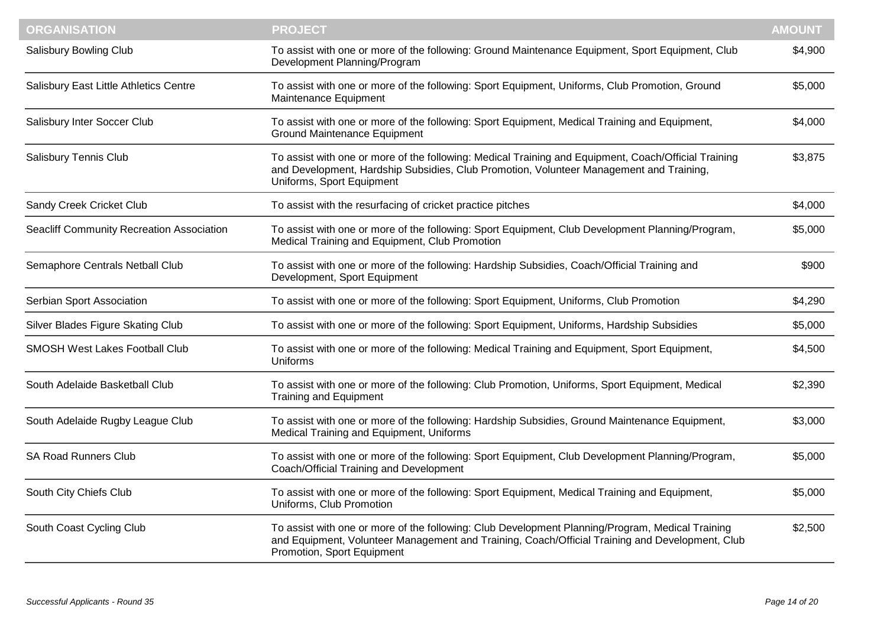| <b>ORGANISATION</b>                       | <b>PROJECT</b>                                                                                                                                                                                                                    | <b>AMOUNT</b> |
|-------------------------------------------|-----------------------------------------------------------------------------------------------------------------------------------------------------------------------------------------------------------------------------------|---------------|
| <b>Salisbury Bowling Club</b>             | To assist with one or more of the following: Ground Maintenance Equipment, Sport Equipment, Club<br>Development Planning/Program                                                                                                  | \$4,900       |
| Salisbury East Little Athletics Centre    | To assist with one or more of the following: Sport Equipment, Uniforms, Club Promotion, Ground<br>Maintenance Equipment                                                                                                           | \$5,000       |
| Salisbury Inter Soccer Club               | To assist with one or more of the following: Sport Equipment, Medical Training and Equipment,<br><b>Ground Maintenance Equipment</b>                                                                                              | \$4,000       |
| Salisbury Tennis Club                     | To assist with one or more of the following: Medical Training and Equipment, Coach/Official Training<br>and Development, Hardship Subsidies, Club Promotion, Volunteer Management and Training,<br>Uniforms, Sport Equipment      | \$3,875       |
| Sandy Creek Cricket Club                  | To assist with the resurfacing of cricket practice pitches                                                                                                                                                                        | \$4,000       |
| Seacliff Community Recreation Association | To assist with one or more of the following: Sport Equipment, Club Development Planning/Program,<br>Medical Training and Equipment, Club Promotion                                                                                | \$5,000       |
| Semaphore Centrals Netball Club           | To assist with one or more of the following: Hardship Subsidies, Coach/Official Training and<br>Development, Sport Equipment                                                                                                      | \$900         |
| Serbian Sport Association                 | To assist with one or more of the following: Sport Equipment, Uniforms, Club Promotion                                                                                                                                            | \$4,290       |
| Silver Blades Figure Skating Club         | To assist with one or more of the following: Sport Equipment, Uniforms, Hardship Subsidies                                                                                                                                        | \$5,000       |
| SMOSH West Lakes Football Club            | To assist with one or more of the following: Medical Training and Equipment, Sport Equipment,<br><b>Uniforms</b>                                                                                                                  | \$4,500       |
| South Adelaide Basketball Club            | To assist with one or more of the following: Club Promotion, Uniforms, Sport Equipment, Medical<br><b>Training and Equipment</b>                                                                                                  | \$2,390       |
| South Adelaide Rugby League Club          | To assist with one or more of the following: Hardship Subsidies, Ground Maintenance Equipment,<br>Medical Training and Equipment, Uniforms                                                                                        | \$3,000       |
| <b>SA Road Runners Club</b>               | To assist with one or more of the following: Sport Equipment, Club Development Planning/Program,<br>Coach/Official Training and Development                                                                                       | \$5,000       |
| South City Chiefs Club                    | To assist with one or more of the following: Sport Equipment, Medical Training and Equipment,<br>Uniforms, Club Promotion                                                                                                         | \$5,000       |
| South Coast Cycling Club                  | To assist with one or more of the following: Club Development Planning/Program, Medical Training<br>and Equipment, Volunteer Management and Training, Coach/Official Training and Development, Club<br>Promotion, Sport Equipment | \$2,500       |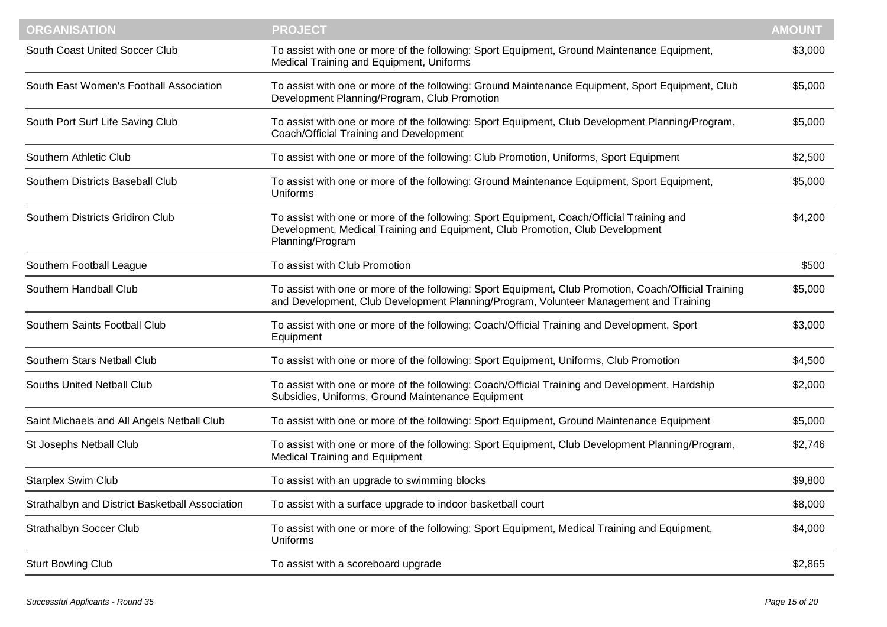| <b>ORGANISATION</b>                             | <b>PROJECT</b>                                                                                                                                                                                 | <b>AMOUNT</b> |
|-------------------------------------------------|------------------------------------------------------------------------------------------------------------------------------------------------------------------------------------------------|---------------|
| South Coast United Soccer Club                  | To assist with one or more of the following: Sport Equipment, Ground Maintenance Equipment,<br>Medical Training and Equipment, Uniforms                                                        | \$3,000       |
| South East Women's Football Association         | To assist with one or more of the following: Ground Maintenance Equipment, Sport Equipment, Club<br>Development Planning/Program, Club Promotion                                               | \$5,000       |
| South Port Surf Life Saving Club                | To assist with one or more of the following: Sport Equipment, Club Development Planning/Program,<br>Coach/Official Training and Development                                                    | \$5,000       |
| Southern Athletic Club                          | To assist with one or more of the following: Club Promotion, Uniforms, Sport Equipment                                                                                                         | \$2,500       |
| Southern Districts Baseball Club                | To assist with one or more of the following: Ground Maintenance Equipment, Sport Equipment,<br>Uniforms                                                                                        | \$5,000       |
| Southern Districts Gridiron Club                | To assist with one or more of the following: Sport Equipment, Coach/Official Training and<br>Development, Medical Training and Equipment, Club Promotion, Club Development<br>Planning/Program | \$4,200       |
| Southern Football League                        | To assist with Club Promotion                                                                                                                                                                  | \$500         |
| Southern Handball Club                          | To assist with one or more of the following: Sport Equipment, Club Promotion, Coach/Official Training<br>and Development, Club Development Planning/Program, Volunteer Management and Training | \$5,000       |
| Southern Saints Football Club                   | To assist with one or more of the following: Coach/Official Training and Development, Sport<br>Equipment                                                                                       | \$3,000       |
| Southern Stars Netball Club                     | To assist with one or more of the following: Sport Equipment, Uniforms, Club Promotion                                                                                                         | \$4,500       |
| <b>Souths United Netball Club</b>               | To assist with one or more of the following: Coach/Official Training and Development, Hardship<br>Subsidies, Uniforms, Ground Maintenance Equipment                                            | \$2,000       |
| Saint Michaels and All Angels Netball Club      | To assist with one or more of the following: Sport Equipment, Ground Maintenance Equipment                                                                                                     | \$5,000       |
| St Josephs Netball Club                         | To assist with one or more of the following: Sport Equipment, Club Development Planning/Program,<br><b>Medical Training and Equipment</b>                                                      | \$2,746       |
| <b>Starplex Swim Club</b>                       | To assist with an upgrade to swimming blocks                                                                                                                                                   | \$9,800       |
| Strathalbyn and District Basketball Association | To assist with a surface upgrade to indoor basketball court                                                                                                                                    | \$8,000       |
| <b>Strathalbyn Soccer Club</b>                  | To assist with one or more of the following: Sport Equipment, Medical Training and Equipment,<br><b>Uniforms</b>                                                                               | \$4,000       |
| <b>Sturt Bowling Club</b>                       | To assist with a scoreboard upgrade                                                                                                                                                            | \$2,865       |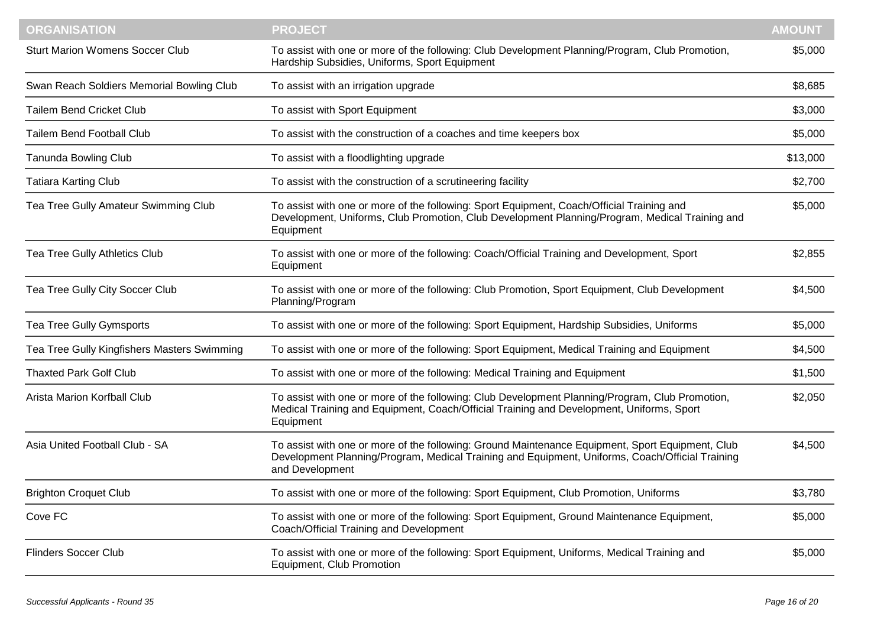| <b>ORGANISATION</b>                         | <b>PROJECT</b>                                                                                                                                                                                                         | <b>AMOUNT</b> |
|---------------------------------------------|------------------------------------------------------------------------------------------------------------------------------------------------------------------------------------------------------------------------|---------------|
| <b>Sturt Marion Womens Soccer Club</b>      | To assist with one or more of the following: Club Development Planning/Program, Club Promotion,<br>Hardship Subsidies, Uniforms, Sport Equipment                                                                       | \$5,000       |
| Swan Reach Soldiers Memorial Bowling Club   | To assist with an irrigation upgrade                                                                                                                                                                                   | \$8,685       |
| <b>Tailem Bend Cricket Club</b>             | To assist with Sport Equipment                                                                                                                                                                                         | \$3,000       |
| <b>Tailem Bend Football Club</b>            | To assist with the construction of a coaches and time keepers box                                                                                                                                                      | \$5,000       |
| <b>Tanunda Bowling Club</b>                 | To assist with a floodlighting upgrade                                                                                                                                                                                 | \$13,000      |
| <b>Tatiara Karting Club</b>                 | To assist with the construction of a scrutineering facility                                                                                                                                                            | \$2,700       |
| Tea Tree Gully Amateur Swimming Club        | To assist with one or more of the following: Sport Equipment, Coach/Official Training and<br>Development, Uniforms, Club Promotion, Club Development Planning/Program, Medical Training and<br>Equipment               | \$5,000       |
| Tea Tree Gully Athletics Club               | To assist with one or more of the following: Coach/Official Training and Development, Sport<br>Equipment                                                                                                               | \$2,855       |
| Tea Tree Gully City Soccer Club             | To assist with one or more of the following: Club Promotion, Sport Equipment, Club Development<br>Planning/Program                                                                                                     | \$4,500       |
| Tea Tree Gully Gymsports                    | To assist with one or more of the following: Sport Equipment, Hardship Subsidies, Uniforms                                                                                                                             | \$5,000       |
| Tea Tree Gully Kingfishers Masters Swimming | To assist with one or more of the following: Sport Equipment, Medical Training and Equipment                                                                                                                           | \$4,500       |
| <b>Thaxted Park Golf Club</b>               | To assist with one or more of the following: Medical Training and Equipment                                                                                                                                            | \$1,500       |
| Arista Marion Korfball Club                 | To assist with one or more of the following: Club Development Planning/Program, Club Promotion,<br>Medical Training and Equipment, Coach/Official Training and Development, Uniforms, Sport<br>Equipment               | \$2,050       |
| Asia United Football Club - SA              | To assist with one or more of the following: Ground Maintenance Equipment, Sport Equipment, Club<br>Development Planning/Program, Medical Training and Equipment, Uniforms, Coach/Official Training<br>and Development | \$4,500       |
| <b>Brighton Croquet Club</b>                | To assist with one or more of the following: Sport Equipment, Club Promotion, Uniforms                                                                                                                                 | \$3,780       |
| Cove FC                                     | To assist with one or more of the following: Sport Equipment, Ground Maintenance Equipment,<br>Coach/Official Training and Development                                                                                 | \$5,000       |
| <b>Flinders Soccer Club</b>                 | To assist with one or more of the following: Sport Equipment, Uniforms, Medical Training and<br>Equipment, Club Promotion                                                                                              | \$5,000       |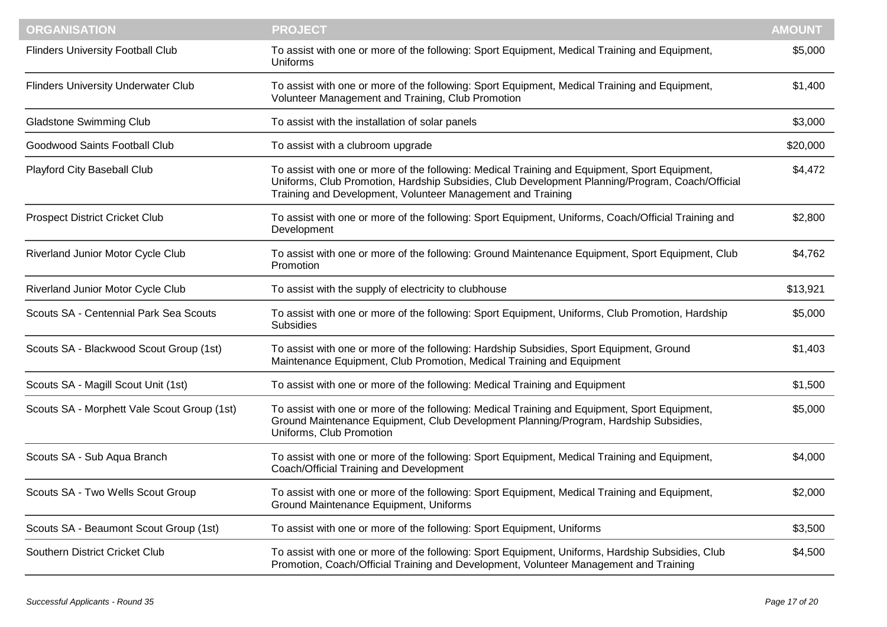| <b>ORGANISATION</b>                         | <b>PROJECT</b>                                                                                                                                                                                                                                                  | <b>AMOUNT</b> |
|---------------------------------------------|-----------------------------------------------------------------------------------------------------------------------------------------------------------------------------------------------------------------------------------------------------------------|---------------|
| <b>Flinders University Football Club</b>    | To assist with one or more of the following: Sport Equipment, Medical Training and Equipment,<br>Uniforms                                                                                                                                                       | \$5,000       |
| <b>Flinders University Underwater Club</b>  | To assist with one or more of the following: Sport Equipment, Medical Training and Equipment,<br>Volunteer Management and Training, Club Promotion                                                                                                              | \$1,400       |
| <b>Gladstone Swimming Club</b>              | To assist with the installation of solar panels                                                                                                                                                                                                                 | \$3,000       |
| Goodwood Saints Football Club               | To assist with a clubroom upgrade                                                                                                                                                                                                                               | \$20,000      |
| Playford City Baseball Club                 | To assist with one or more of the following: Medical Training and Equipment, Sport Equipment,<br>Uniforms, Club Promotion, Hardship Subsidies, Club Development Planning/Program, Coach/Official<br>Training and Development, Volunteer Management and Training | \$4,472       |
| <b>Prospect District Cricket Club</b>       | To assist with one or more of the following: Sport Equipment, Uniforms, Coach/Official Training and<br>Development                                                                                                                                              | \$2,800       |
| Riverland Junior Motor Cycle Club           | To assist with one or more of the following: Ground Maintenance Equipment, Sport Equipment, Club<br>Promotion                                                                                                                                                   | \$4,762       |
| Riverland Junior Motor Cycle Club           | To assist with the supply of electricity to clubhouse                                                                                                                                                                                                           | \$13,921      |
| Scouts SA - Centennial Park Sea Scouts      | To assist with one or more of the following: Sport Equipment, Uniforms, Club Promotion, Hardship<br><b>Subsidies</b>                                                                                                                                            | \$5,000       |
| Scouts SA - Blackwood Scout Group (1st)     | To assist with one or more of the following: Hardship Subsidies, Sport Equipment, Ground<br>Maintenance Equipment, Club Promotion, Medical Training and Equipment                                                                                               | \$1,403       |
| Scouts SA - Magill Scout Unit (1st)         | To assist with one or more of the following: Medical Training and Equipment                                                                                                                                                                                     | \$1,500       |
| Scouts SA - Morphett Vale Scout Group (1st) | To assist with one or more of the following: Medical Training and Equipment, Sport Equipment,<br>Ground Maintenance Equipment, Club Development Planning/Program, Hardship Subsidies,<br>Uniforms, Club Promotion                                               | \$5,000       |
| Scouts SA - Sub Aqua Branch                 | To assist with one or more of the following: Sport Equipment, Medical Training and Equipment,<br>Coach/Official Training and Development                                                                                                                        | \$4,000       |
| Scouts SA - Two Wells Scout Group           | To assist with one or more of the following: Sport Equipment, Medical Training and Equipment,<br>Ground Maintenance Equipment, Uniforms                                                                                                                         | \$2,000       |
| Scouts SA - Beaumont Scout Group (1st)      | To assist with one or more of the following: Sport Equipment, Uniforms                                                                                                                                                                                          | \$3,500       |
| Southern District Cricket Club              | To assist with one or more of the following: Sport Equipment, Uniforms, Hardship Subsidies, Club<br>Promotion, Coach/Official Training and Development, Volunteer Management and Training                                                                       | \$4,500       |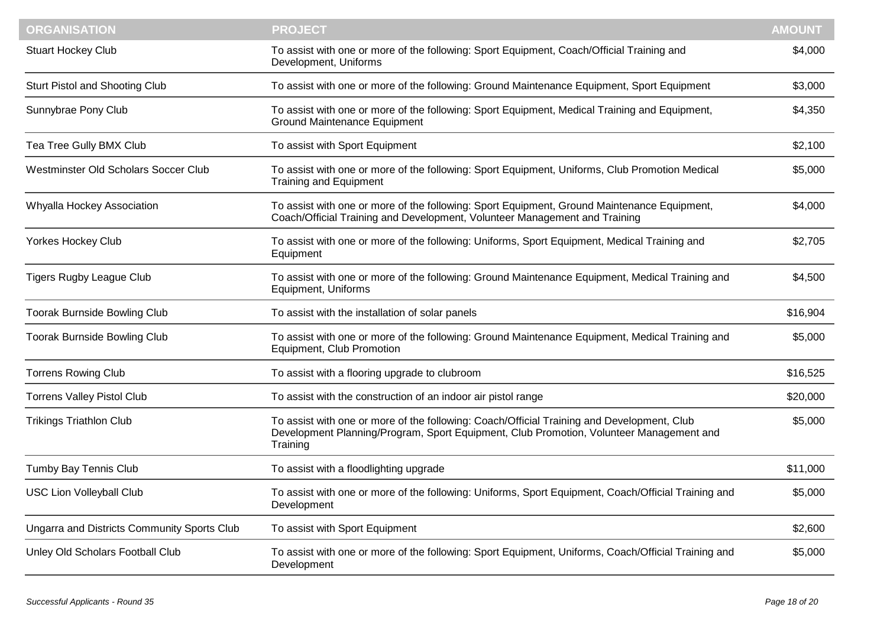| <b>ORGANISATION</b>                                | <b>PROJECT</b>                                                                                                                                                                                    | <b>AMOUNT</b> |
|----------------------------------------------------|---------------------------------------------------------------------------------------------------------------------------------------------------------------------------------------------------|---------------|
| <b>Stuart Hockey Club</b>                          | To assist with one or more of the following: Sport Equipment, Coach/Official Training and<br>Development, Uniforms                                                                                | \$4,000       |
| Sturt Pistol and Shooting Club                     | To assist with one or more of the following: Ground Maintenance Equipment, Sport Equipment                                                                                                        | \$3,000       |
| Sunnybrae Pony Club                                | To assist with one or more of the following: Sport Equipment, Medical Training and Equipment,<br><b>Ground Maintenance Equipment</b>                                                              | \$4,350       |
| Tea Tree Gully BMX Club                            | To assist with Sport Equipment                                                                                                                                                                    | \$2,100       |
| Westminster Old Scholars Soccer Club               | To assist with one or more of the following: Sport Equipment, Uniforms, Club Promotion Medical<br><b>Training and Equipment</b>                                                                   | \$5,000       |
| Whyalla Hockey Association                         | To assist with one or more of the following: Sport Equipment, Ground Maintenance Equipment,<br>Coach/Official Training and Development, Volunteer Management and Training                         | \$4,000       |
| <b>Yorkes Hockey Club</b>                          | To assist with one or more of the following: Uniforms, Sport Equipment, Medical Training and<br>Equipment                                                                                         | \$2,705       |
| <b>Tigers Rugby League Club</b>                    | To assist with one or more of the following: Ground Maintenance Equipment, Medical Training and<br>Equipment, Uniforms                                                                            | \$4,500       |
| <b>Toorak Burnside Bowling Club</b>                | To assist with the installation of solar panels                                                                                                                                                   | \$16,904      |
| <b>Toorak Burnside Bowling Club</b>                | To assist with one or more of the following: Ground Maintenance Equipment, Medical Training and<br>Equipment, Club Promotion                                                                      | \$5,000       |
| <b>Torrens Rowing Club</b>                         | To assist with a flooring upgrade to clubroom                                                                                                                                                     | \$16,525      |
| <b>Torrens Valley Pistol Club</b>                  | To assist with the construction of an indoor air pistol range                                                                                                                                     | \$20,000      |
| <b>Trikings Triathlon Club</b>                     | To assist with one or more of the following: Coach/Official Training and Development, Club<br>Development Planning/Program, Sport Equipment, Club Promotion, Volunteer Management and<br>Training | \$5,000       |
| Tumby Bay Tennis Club                              | To assist with a floodlighting upgrade                                                                                                                                                            | \$11,000      |
| <b>USC Lion Volleyball Club</b>                    | To assist with one or more of the following: Uniforms, Sport Equipment, Coach/Official Training and<br>Development                                                                                | \$5,000       |
| <b>Ungarra and Districts Community Sports Club</b> | To assist with Sport Equipment                                                                                                                                                                    | \$2,600       |
| Unley Old Scholars Football Club                   | To assist with one or more of the following: Sport Equipment, Uniforms, Coach/Official Training and<br>Development                                                                                | \$5,000       |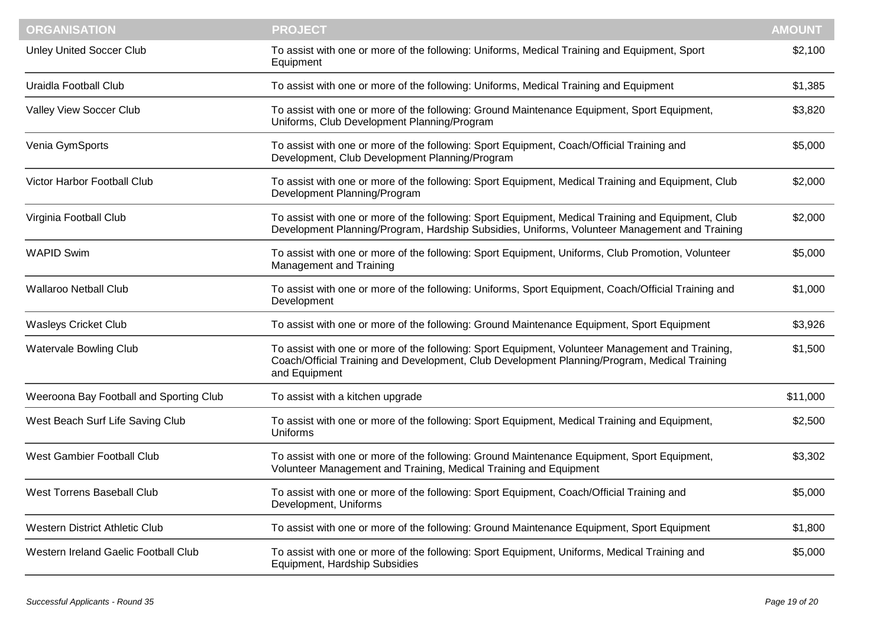| <b>ORGANISATION</b>                     | <b>PROJECT</b>                                                                                                                                                                                                    | <b>AMOUNT</b> |
|-----------------------------------------|-------------------------------------------------------------------------------------------------------------------------------------------------------------------------------------------------------------------|---------------|
| <b>Unley United Soccer Club</b>         | To assist with one or more of the following: Uniforms, Medical Training and Equipment, Sport<br>Equipment                                                                                                         | \$2,100       |
| Uraidla Football Club                   | To assist with one or more of the following: Uniforms, Medical Training and Equipment                                                                                                                             | \$1,385       |
| Valley View Soccer Club                 | To assist with one or more of the following: Ground Maintenance Equipment, Sport Equipment,<br>Uniforms, Club Development Planning/Program                                                                        | \$3,820       |
| Venia GymSports                         | To assist with one or more of the following: Sport Equipment, Coach/Official Training and<br>Development, Club Development Planning/Program                                                                       | \$5,000       |
| Victor Harbor Football Club             | To assist with one or more of the following: Sport Equipment, Medical Training and Equipment, Club<br>Development Planning/Program                                                                                | \$2,000       |
| Virginia Football Club                  | To assist with one or more of the following: Sport Equipment, Medical Training and Equipment, Club<br>Development Planning/Program, Hardship Subsidies, Uniforms, Volunteer Management and Training               | \$2,000       |
| <b>WAPID Swim</b>                       | To assist with one or more of the following: Sport Equipment, Uniforms, Club Promotion, Volunteer<br>Management and Training                                                                                      | \$5,000       |
| <b>Wallaroo Netball Club</b>            | To assist with one or more of the following: Uniforms, Sport Equipment, Coach/Official Training and<br>Development                                                                                                | \$1,000       |
| <b>Wasleys Cricket Club</b>             | To assist with one or more of the following: Ground Maintenance Equipment, Sport Equipment                                                                                                                        | \$3,926       |
| Watervale Bowling Club                  | To assist with one or more of the following: Sport Equipment, Volunteer Management and Training,<br>Coach/Official Training and Development, Club Development Planning/Program, Medical Training<br>and Equipment | \$1,500       |
| Weeroona Bay Football and Sporting Club | To assist with a kitchen upgrade                                                                                                                                                                                  | \$11,000      |
| West Beach Surf Life Saving Club        | To assist with one or more of the following: Sport Equipment, Medical Training and Equipment,<br>Uniforms                                                                                                         | \$2,500       |
| West Gambier Football Club              | To assist with one or more of the following: Ground Maintenance Equipment, Sport Equipment,<br>Volunteer Management and Training, Medical Training and Equipment                                                  | \$3,302       |
| West Torrens Baseball Club              | To assist with one or more of the following: Sport Equipment, Coach/Official Training and<br>Development, Uniforms                                                                                                | \$5,000       |
| <b>Western District Athletic Club</b>   | To assist with one or more of the following: Ground Maintenance Equipment, Sport Equipment                                                                                                                        | \$1,800       |
| Western Ireland Gaelic Football Club    | To assist with one or more of the following: Sport Equipment, Uniforms, Medical Training and<br>Equipment, Hardship Subsidies                                                                                     | \$5,000       |